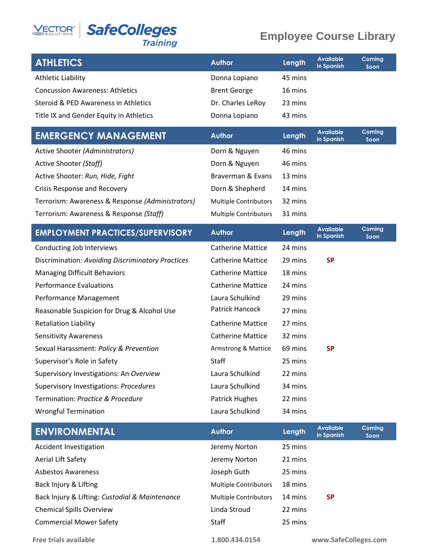## **VECTOR SafeColleges**

#### **Employee Course Library**

| <b>ATHLETICS</b>                        | <b>Author</b>       | Length  | <b>Available</b><br>in Spanish | Coming<br>Soon |
|-----------------------------------------|---------------------|---------|--------------------------------|----------------|
| Athletic Liability                      | Donna Lopiano       | 45 mins |                                |                |
| <b>Concussion Awareness: Athletics</b>  | <b>Brent George</b> | 16 mins |                                |                |
| Steroid & PED Awareness in Athletics    | Dr. Charles LeRoy   | 23 mins |                                |                |
| Title IX and Gender Equity in Athletics | Donna Lopiano       | 43 mins |                                |                |

| <b>EMERGENCY MANAGEMENT</b>                      | <b>Author</b>                | Length  | Available<br>in Spanish | <b>Coming</b><br>Soon |
|--------------------------------------------------|------------------------------|---------|-------------------------|-----------------------|
| Active Shooter (Administrators)                  | Dorn & Nguyen                | 46 mins |                         |                       |
| Active Shooter (Staff)                           | Dorn & Nguyen                | 46 mins |                         |                       |
| Active Shooter: Run, Hide, Fight                 | Braverman & Evans            | 13 mins |                         |                       |
| Crisis Response and Recovery                     | Dorn & Shepherd              | 14 mins |                         |                       |
| Terrorism: Awareness & Response (Administrators) | <b>Multiple Contributors</b> | 32 mins |                         |                       |
| Terrorism: Awareness & Response (Staff)          | <b>Multiple Contributors</b> | 31 mins |                         |                       |

| <b>EMPLOYMENT PRACTICES/SUPERVISORY</b>           | <b>Author</b>            | <b>Length</b> | <b>Available</b><br>in Spanish | Coming<br>Soon |
|---------------------------------------------------|--------------------------|---------------|--------------------------------|----------------|
| Conducting Job Interviews                         | <b>Catherine Mattice</b> | 24 mins       |                                |                |
| Discrimination: Avoiding Discriminatory Practices | <b>Catherine Mattice</b> | 29 mins       | <b>SP</b>                      |                |
| <b>Managing Difficult Behaviors</b>               | <b>Catherine Mattice</b> | 18 mins       |                                |                |
| <b>Performance Evaluations</b>                    | <b>Catherine Mattice</b> | 24 mins       |                                |                |
| Performance Management                            | Laura Schulkind          | 29 mins       |                                |                |
| Reasonable Suspicion for Drug & Alcohol Use       | Patrick Hancock          | 27 mins       |                                |                |
| <b>Retaliation Liability</b>                      | <b>Catherine Mattice</b> | 27 mins       |                                |                |
| <b>Sensitivity Awareness</b>                      | <b>Catherine Mattice</b> | 32 mins       |                                |                |
| Sexual Harassment: Policy & Prevention            | Armstrong & Mattice      | 69 mins       | <b>SP</b>                      |                |
| Supervisor's Role in Safety                       | Staff                    | 25 mins       |                                |                |
| Supervisory Investigations: An Overview           | Laura Schulkind          | 22 mins       |                                |                |
| Supervisory Investigations: Procedures            | Laura Schulkind          | 34 mins       |                                |                |
| Termination: Practice & Procedure                 | Patrick Hughes           | 22 mins       |                                |                |
| <b>Wrongful Termination</b>                       | Laura Schulkind          | 34 mins       |                                |                |

| Coming<br>Soon |
|----------------|
|                |
|                |
|                |
|                |
|                |
|                |
|                |
|                |

**Free trials available 1.800.434.0154 www.SafeColleges.com**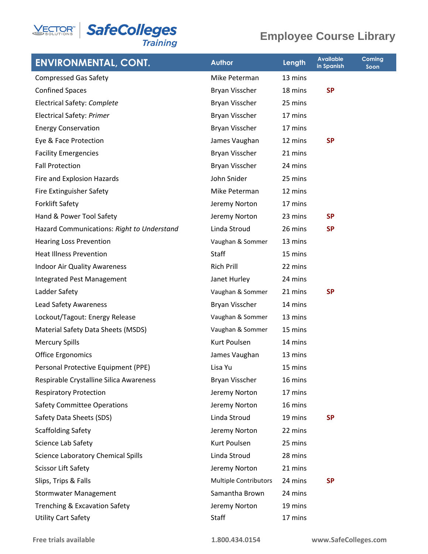

#### **Employee Course Library**

| <b>ENVIRONMENTAL, CONT.</b>                | <b>Author</b>                | Length  | <b>Available</b><br>in Spanish | <b>Coming</b><br>Soon |
|--------------------------------------------|------------------------------|---------|--------------------------------|-----------------------|
| <b>Compressed Gas Safety</b>               | Mike Peterman                | 13 mins |                                |                       |
| <b>Confined Spaces</b>                     | Bryan Visscher               | 18 mins | <b>SP</b>                      |                       |
| Electrical Safety: Complete                | Bryan Visscher               | 25 mins |                                |                       |
| <b>Electrical Safety: Primer</b>           | Bryan Visscher               | 17 mins |                                |                       |
| <b>Energy Conservation</b>                 | Bryan Visscher               | 17 mins |                                |                       |
| Eye & Face Protection                      | James Vaughan                | 12 mins | <b>SP</b>                      |                       |
| <b>Facility Emergencies</b>                | Bryan Visscher               | 21 mins |                                |                       |
| <b>Fall Protection</b>                     | Bryan Visscher               | 24 mins |                                |                       |
| Fire and Explosion Hazards                 | John Snider                  | 25 mins |                                |                       |
| Fire Extinguisher Safety                   | Mike Peterman                | 12 mins |                                |                       |
| <b>Forklift Safety</b>                     | Jeremy Norton                | 17 mins |                                |                       |
| Hand & Power Tool Safety                   | Jeremy Norton                | 23 mins | <b>SP</b>                      |                       |
| Hazard Communications: Right to Understand | Linda Stroud                 | 26 mins | <b>SP</b>                      |                       |
| <b>Hearing Loss Prevention</b>             | Vaughan & Sommer             | 13 mins |                                |                       |
| <b>Heat Illness Prevention</b>             | <b>Staff</b>                 | 15 mins |                                |                       |
| <b>Indoor Air Quality Awareness</b>        | <b>Rich Prill</b>            | 22 mins |                                |                       |
| Integrated Pest Management                 | Janet Hurley                 | 24 mins |                                |                       |
| Ladder Safety                              | Vaughan & Sommer             | 21 mins | <b>SP</b>                      |                       |
| <b>Lead Safety Awareness</b>               | Bryan Visscher               | 14 mins |                                |                       |
| Lockout/Tagout: Energy Release             | Vaughan & Sommer             | 13 mins |                                |                       |
| Material Safety Data Sheets (MSDS)         | Vaughan & Sommer             | 15 mins |                                |                       |
| <b>Mercury Spills</b>                      | Kurt Poulsen                 | 14 mins |                                |                       |
| <b>Office Ergonomics</b>                   | James Vaughan                | 13 mins |                                |                       |
| Personal Protective Equipment (PPE)        | Lisa Yu                      | 15 mins |                                |                       |
| Respirable Crystalline Silica Awareness    | Bryan Visscher               | 16 mins |                                |                       |
| <b>Respiratory Protection</b>              | Jeremy Norton                | 17 mins |                                |                       |
| <b>Safety Committee Operations</b>         | Jeremy Norton                | 16 mins |                                |                       |
| Safety Data Sheets (SDS)                   | Linda Stroud                 | 19 mins | <b>SP</b>                      |                       |
| <b>Scaffolding Safety</b>                  | Jeremy Norton                | 22 mins |                                |                       |
| Science Lab Safety                         | Kurt Poulsen                 | 25 mins |                                |                       |
| <b>Science Laboratory Chemical Spills</b>  | Linda Stroud                 | 28 mins |                                |                       |
| <b>Scissor Lift Safety</b>                 | Jeremy Norton                | 21 mins |                                |                       |
| Slips, Trips & Falls                       | <b>Multiple Contributors</b> | 24 mins | <b>SP</b>                      |                       |
| <b>Stormwater Management</b>               | Samantha Brown               | 24 mins |                                |                       |
| Trenching & Excavation Safety              | Jeremy Norton                | 19 mins |                                |                       |
| <b>Utility Cart Safety</b>                 | <b>Staff</b>                 | 17 mins |                                |                       |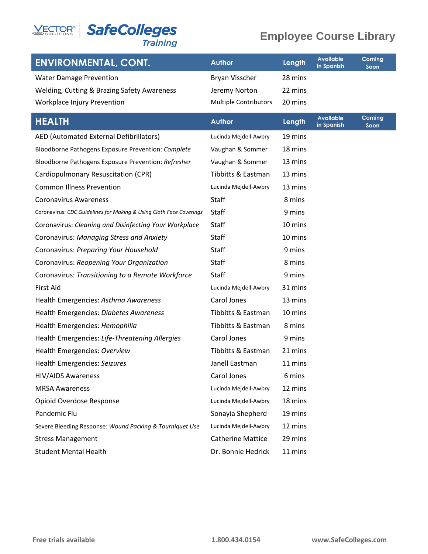# **VECTOR<sup>®</sup> SafeColleges**

### **Employee Course Library**

|  | ıraınıl |  |  |
|--|---------|--|--|
|  |         |  |  |

| <b>ENVIRONMENTAL, CONT.</b>                 | <b>Author</b>                | Length  | Available<br>in Spanish | Coming<br>Soon |
|---------------------------------------------|------------------------------|---------|-------------------------|----------------|
| <b>Water Damage Prevention</b>              | <b>Bryan Visscher</b>        | 28 mins |                         |                |
| Welding, Cutting & Brazing Safety Awareness | Jeremy Norton                | 22 mins |                         |                |
| Workplace Injury Prevention                 | <b>Multiple Contributors</b> | 20 mins |                         |                |

| <b>HEALTH</b>                                                       | <b>Author</b>            | Length  | <b>Available</b><br>in Spanish | Coming<br>Soon |
|---------------------------------------------------------------------|--------------------------|---------|--------------------------------|----------------|
| AED (Automated External Defibrillators)                             | Lucinda Mejdell-Awbry    | 19 mins |                                |                |
| Bloodborne Pathogens Exposure Prevention: Complete                  | Vaughan & Sommer         | 18 mins |                                |                |
| Bloodborne Pathogens Exposure Prevention: Refresher                 | Vaughan & Sommer         | 13 mins |                                |                |
| Cardiopulmonary Resuscitation (CPR)                                 | Tibbitts & Eastman       | 13 mins |                                |                |
| <b>Common Illness Prevention</b>                                    | Lucinda Mejdell-Awbry    | 13 mins |                                |                |
| <b>Coronavirus Awareness</b>                                        | Staff                    | 8 mins  |                                |                |
| Coronavirus: CDC Guidelines for Making & Using Cloth Face Coverings | Staff                    | 9 mins  |                                |                |
| Coronavirus: Cleaning and Disinfecting Your Workplace               | Staff                    | 10 mins |                                |                |
| Coronavirus: Managing Stress and Anxiety                            | Staff                    | 10 mins |                                |                |
| Coronavirus: Preparing Your Household                               | Staff                    | 9 mins  |                                |                |
| Coronavirus: Reopening Your Organization                            | Staff                    | 8 mins  |                                |                |
| Coronavirus: Transitioning to a Remote Workforce                    | Staff                    | 9 mins  |                                |                |
| <b>First Aid</b>                                                    | Lucinda Mejdell-Awbry    | 31 mins |                                |                |
| Health Emergencies: Asthma Awareness                                | Carol Jones              | 13 mins |                                |                |
| Health Emergencies: Diabetes Awareness                              | Tibbitts & Eastman       | 10 mins |                                |                |
| Health Emergencies: Hemophilia                                      | Tibbitts & Eastman       | 8 mins  |                                |                |
| Health Emergencies: Life-Threatening Allergies                      | Carol Jones              | 9 mins  |                                |                |
| Health Emergencies: Overview                                        | Tibbitts & Eastman       | 21 mins |                                |                |
| Health Emergencies: Seizures                                        | Janell Eastman           | 11 mins |                                |                |
| <b>HIV/AIDS Awareness</b>                                           | Carol Jones              | 6 mins  |                                |                |
| <b>MRSA Awareness</b>                                               | Lucinda Mejdell-Awbry    | 12 mins |                                |                |
| Opioid Overdose Response                                            | Lucinda Mejdell-Awbry    | 18 mins |                                |                |
| Pandemic Flu                                                        | Sonayia Shepherd         | 19 mins |                                |                |
| Severe Bleeding Response: Wound Packing & Tourniquet Use            | Lucinda Mejdell-Awbry    | 12 mins |                                |                |
| <b>Stress Management</b>                                            | <b>Catherine Mattice</b> | 29 mins |                                |                |
| <b>Student Mental Health</b>                                        | Dr. Bonnie Hedrick       | 11 mins |                                |                |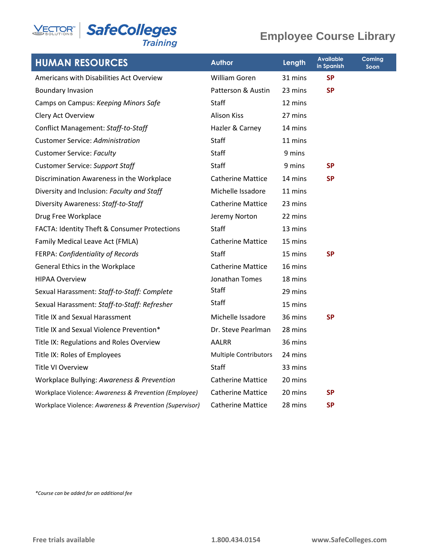**VECTOR<sup>®</sup> SafeColleges** Training

#### **Employee Course Library**

| <b>HUMAN RESOURCES</b>                                  | <b>Author</b>                | Length  | <b>Available</b><br>in Spanish | Coming<br>Soon |
|---------------------------------------------------------|------------------------------|---------|--------------------------------|----------------|
| Americans with Disabilities Act Overview                | William Goren                | 31 mins | <b>SP</b>                      |                |
| <b>Boundary Invasion</b>                                | Patterson & Austin           | 23 mins | <b>SP</b>                      |                |
| Camps on Campus: Keeping Minors Safe                    | Staff                        | 12 mins |                                |                |
| Clery Act Overview                                      | <b>Alison Kiss</b>           | 27 mins |                                |                |
| Conflict Management: Staff-to-Staff                     | Hazler & Carney              | 14 mins |                                |                |
| <b>Customer Service: Administration</b>                 | Staff                        | 11 mins |                                |                |
| <b>Customer Service: Faculty</b>                        | Staff                        | 9 mins  |                                |                |
| <b>Customer Service: Support Staff</b>                  | Staff                        | 9 mins  | <b>SP</b>                      |                |
| Discrimination Awareness in the Workplace               | <b>Catherine Mattice</b>     | 14 mins | <b>SP</b>                      |                |
| Diversity and Inclusion: Faculty and Staff              | Michelle Issadore            | 11 mins |                                |                |
| Diversity Awareness: Staff-to-Staff                     | <b>Catherine Mattice</b>     | 23 mins |                                |                |
| Drug Free Workplace                                     | Jeremy Norton                | 22 mins |                                |                |
| FACTA: Identity Theft & Consumer Protections            | Staff                        | 13 mins |                                |                |
| Family Medical Leave Act (FMLA)                         | <b>Catherine Mattice</b>     | 15 mins |                                |                |
| FERPA: Confidentiality of Records                       | <b>Staff</b>                 | 15 mins | <b>SP</b>                      |                |
| General Ethics in the Workplace                         | <b>Catherine Mattice</b>     | 16 mins |                                |                |
| <b>HIPAA Overview</b>                                   | Jonathan Tomes               | 18 mins |                                |                |
| Sexual Harassment: Staff-to-Staff: Complete             | Staff                        | 29 mins |                                |                |
| Sexual Harassment: Staff-to-Staff: Refresher            | Staff                        | 15 mins |                                |                |
| <b>Title IX and Sexual Harassment</b>                   | Michelle Issadore            | 36 mins | <b>SP</b>                      |                |
| Title IX and Sexual Violence Prevention*                | Dr. Steve Pearlman           | 28 mins |                                |                |
| Title IX: Regulations and Roles Overview                | <b>AALRR</b>                 | 36 mins |                                |                |
| Title IX: Roles of Employees                            | <b>Multiple Contributors</b> | 24 mins |                                |                |
| <b>Title VI Overview</b>                                | Staff                        | 33 mins |                                |                |
| Workplace Bullying: Awareness & Prevention              | <b>Catherine Mattice</b>     | 20 mins |                                |                |
| Workplace Violence: Awareness & Prevention (Employee)   | <b>Catherine Mattice</b>     | 20 mins | <b>SP</b>                      |                |
| Workplace Violence: Awareness & Prevention (Supervisor) | <b>Catherine Mattice</b>     | 28 mins | <b>SP</b>                      |                |

*\*Course can be added for an additional fee*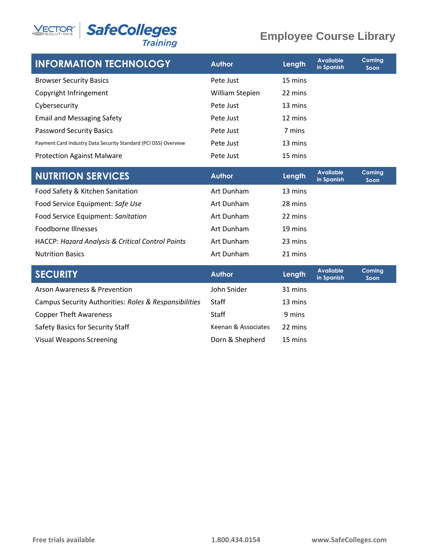

#### **SafeColleges Training**

#### **Employee Course Library**

| <b>INFORMATION TECHNOLOGY</b>                                   | <b>Author</b>   | Length  | <b>Available</b><br>in Spanish | Coming<br>Soon |
|-----------------------------------------------------------------|-----------------|---------|--------------------------------|----------------|
| <b>Browser Security Basics</b>                                  | Pete Just       | 15 mins |                                |                |
| Copyright Infringement                                          | William Stepien | 22 mins |                                |                |
| Cybersecurity                                                   | Pete Just       | 13 mins |                                |                |
| <b>Email and Messaging Safety</b>                               | Pete Just       | 12 mins |                                |                |
| <b>Password Security Basics</b>                                 | Pete Just       | 7 mins  |                                |                |
| Payment Card Industry Data Security Standard (PCI DSS) Overview | Pete Just       | 13 mins |                                |                |
| <b>Protection Against Malware</b>                               | Pete Just       | 15 mins |                                |                |
| <b>NUTRITION SERVICES</b>                                       | <b>Author</b>   | Length  | <b>Available</b><br>in Spanish | Coming<br>Soon |
| Food Safety & Kitchen Sanitation                                | Art Dunham      | 13 mins |                                |                |
| Food Service Equipment: Safe Use                                | Art Dunham      | 28 mins |                                |                |
| Food Service Equipment: Sanitation                              | Art Dunham      | 22 mins |                                |                |
| <b>Foodborne Illnesses</b>                                      | Art Dunham      | 19 mins |                                |                |
| <b>HACCP: Hazard Analysis &amp; Critical Control Points</b>     | Art Dunham      | 23 mins |                                |                |
| <b>Nutrition Basics</b>                                         | Art Dunham      | 21 mins |                                |                |
| <b>SECURITY</b>                                                 | <b>Author</b>   | Length  | <b>Available</b><br>in Spanish | Coming<br>Soon |
| <b>Arson Awareness &amp; Prevention</b>                         | John Snider     | 31 mins |                                |                |
| Campus Security Authorities: Roles & Responsibilities           | <b>Staff</b>    | 13 mins |                                |                |
| <b>Copper Theft Awareness</b>                                   | Staff           | 9 mins  |                                |                |

Safety Basics for Security Staff Keenan & Associates 22 mins Visual Weapons Screening The Corollate Corollary Born & Shepherd 15 mins